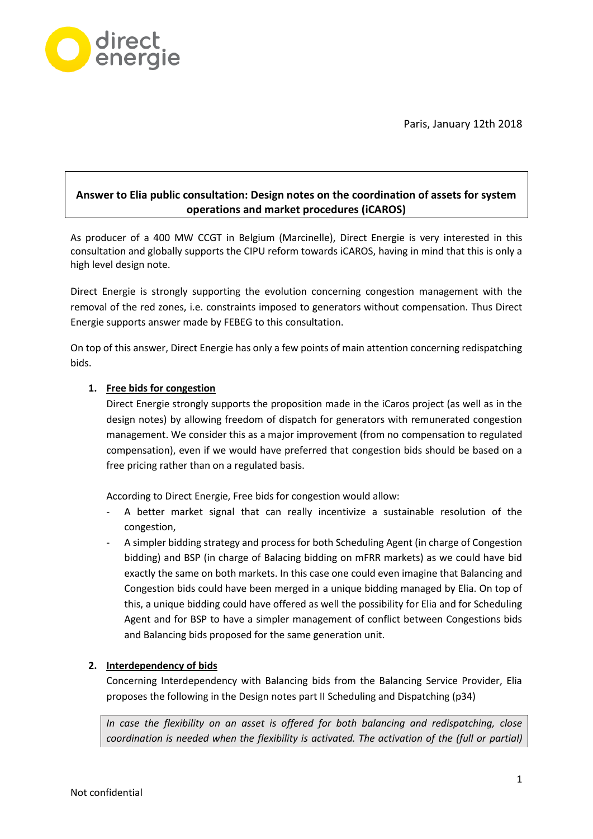Paris, January 12th 2018



## **Answer to Elia public consultation: Design notes on the coordination of assets for system operations and market procedures (iCAROS)**

As producer of a 400 MW CCGT in Belgium (Marcinelle), Direct Energie is very interested in this consultation and globally supports the CIPU reform towards iCAROS, having in mind that this is only a high level design note.

Direct Energie is strongly supporting the evolution concerning congestion management with the removal of the red zones, i.e. constraints imposed to generators without compensation. Thus Direct Energie supports answer made by FEBEG to this consultation.

On top of this answer, Direct Energie has only a few points of main attention concerning redispatching bids.

## **1. Free bids for congestion**

Direct Energie strongly supports the proposition made in the iCaros project (as well as in the design notes) by allowing freedom of dispatch for generators with remunerated congestion management. We consider this as a major improvement (from no compensation to regulated compensation), even if we would have preferred that congestion bids should be based on a free pricing rather than on a regulated basis.

According to Direct Energie, Free bids for congestion would allow:

- A better market signal that can really incentivize a sustainable resolution of the congestion,
- A simpler bidding strategy and process for both Scheduling Agent (in charge of Congestion bidding) and BSP (in charge of Balacing bidding on mFRR markets) as we could have bid exactly the same on both markets. In this case one could even imagine that Balancing and Congestion bids could have been merged in a unique bidding managed by Elia. On top of this, a unique bidding could have offered as well the possibility for Elia and for Scheduling Agent and for BSP to have a simpler management of conflict between Congestions bids and Balancing bids proposed for the same generation unit.

## **2. Interdependency of bids**

Concerning Interdependency with Balancing bids from the Balancing Service Provider, Elia proposes the following in the Design notes part II Scheduling and Dispatching (p34)

*In case the flexibility on an asset is offered for both balancing and redispatching, close coordination is needed when the flexibility is activated. The activation of the (full or partial)*